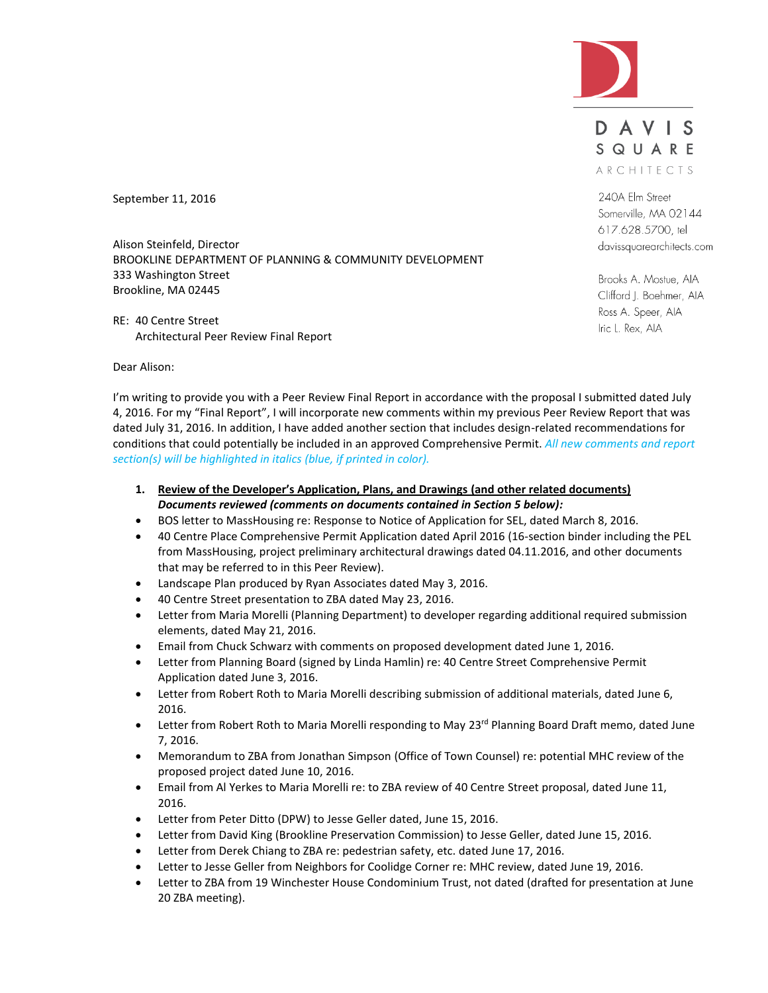

DAVIS SQUARE ARCHITECTS

240A Elm Street Somerville, MA 02144 617.628.5700, tel davissquarearchitects.com

Brooks A. Mostue, AIA Clifford J. Boehmer, AIA Ross A. Speer, AIA Iric L. Rex, AIA

September 11, 2016

Alison Steinfeld, Director BROOKLINE DEPARTMENT OF PLANNING & COMMUNITY DEVELOPMENT 333 Washington Street Brookline, MA 02445

RE: 40 Centre Street Architectural Peer Review Final Report

Dear Alison:

I'm writing to provide you with a Peer Review Final Report in accordance with the proposal I submitted dated July 4, 2016. For my "Final Report", I will incorporate new comments within my previous Peer Review Report that was dated July 31, 2016. In addition, I have added another section that includes design-related recommendations for conditions that could potentially be included in an approved Comprehensive Permit. *All new comments and report section(s) will be highlighted in italics (blue, if printed in color).* 

- **1. Review of the Developer's Application, Plans, and Drawings (and other related documents)** *Documents reviewed (comments on documents contained in Section 5 below):*
- BOS letter to MassHousing re: Response to Notice of Application for SEL, dated March 8, 2016.
- 40 Centre Place Comprehensive Permit Application dated April 2016 (16-section binder including the PEL from MassHousing, project preliminary architectural drawings dated 04.11.2016, and other documents that may be referred to in this Peer Review).
- Landscape Plan produced by Ryan Associates dated May 3, 2016.
- 40 Centre Street presentation to ZBA dated May 23, 2016.
- Letter from Maria Morelli (Planning Department) to developer regarding additional required submission elements, dated May 21, 2016.
- Email from Chuck Schwarz with comments on proposed development dated June 1, 2016.
- Letter from Planning Board (signed by Linda Hamlin) re: 40 Centre Street Comprehensive Permit Application dated June 3, 2016.
- Letter from Robert Roth to Maria Morelli describing submission of additional materials, dated June 6, 2016.
- **•** Letter from Robert Roth to Maria Morelli responding to May 23<sup>rd</sup> Planning Board Draft memo, dated June 7, 2016.
- Memorandum to ZBA from Jonathan Simpson (Office of Town Counsel) re: potential MHC review of the proposed project dated June 10, 2016.
- Email from Al Yerkes to Maria Morelli re: to ZBA review of 40 Centre Street proposal, dated June 11, 2016.
- Letter from Peter Ditto (DPW) to Jesse Geller dated, June 15, 2016.
- Letter from David King (Brookline Preservation Commission) to Jesse Geller, dated June 15, 2016.
- Letter from Derek Chiang to ZBA re: pedestrian safety, etc. dated June 17, 2016.
- Letter to Jesse Geller from Neighbors for Coolidge Corner re: MHC review, dated June 19, 2016.
- Letter to ZBA from 19 Winchester House Condominium Trust, not dated (drafted for presentation at June 20 ZBA meeting).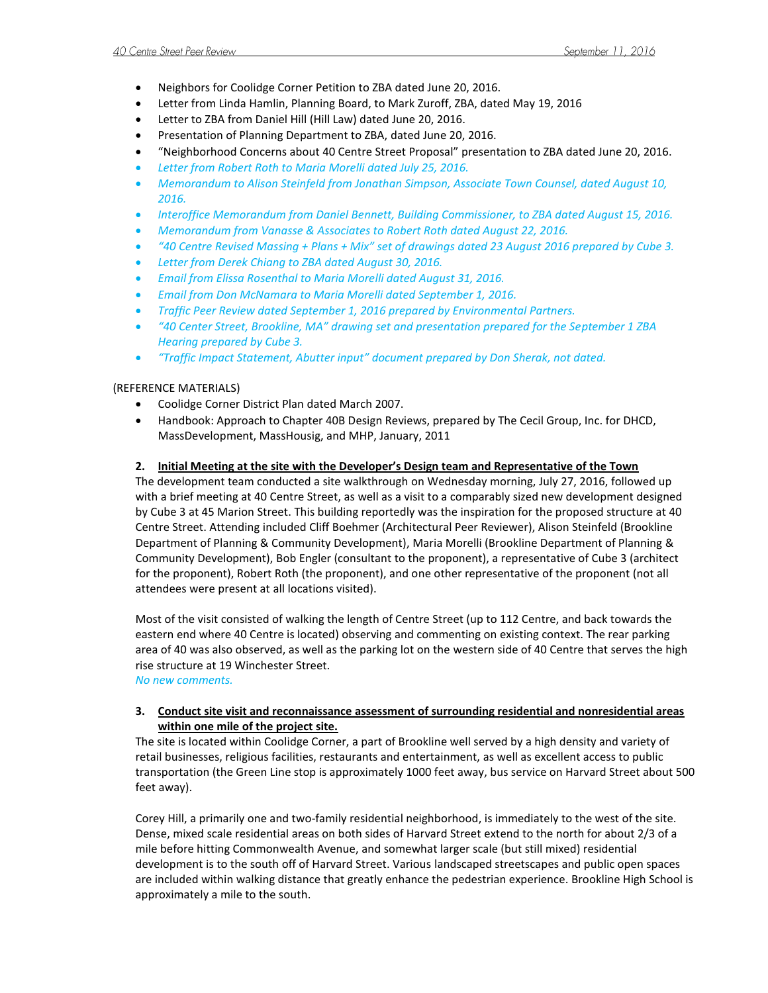- Neighbors for Coolidge Corner Petition to ZBA dated June 20, 2016.
- Letter from Linda Hamlin, Planning Board, to Mark Zuroff, ZBA, dated May 19, 2016
- Letter to ZBA from Daniel Hill (Hill Law) dated June 20, 2016.
- Presentation of Planning Department to ZBA, dated June 20, 2016.
- "Neighborhood Concerns about 40 Centre Street Proposal" presentation to ZBA dated June 20, 2016.
- *Letter from Robert Roth to Maria Morelli dated July 25, 2016.*
- *Memorandum to Alison Steinfeld from Jonathan Simpson, Associate Town Counsel, dated August 10, 2016.*
- *Interoffice Memorandum from Daniel Bennett, Building Commissioner, to ZBA dated August 15, 2016.*
- *Memorandum from Vanasse & Associates to Robert Roth dated August 22, 2016.*
- *"40 Centre Revised Massing + Plans + Mix" set of drawings dated 23 August 2016 prepared by Cube 3.*
- *Letter from Derek Chiang to ZBA dated August 30, 2016.*
- *Email from Elissa Rosenthal to Maria Morelli dated August 31, 2016.*
- *Email from Don McNamara to Maria Morelli dated September 1, 2016.*
- *Traffic Peer Review dated September 1, 2016 prepared by Environmental Partners.*
- *"40 Center Street, Brookline, MA" drawing set and presentation prepared for the September 1 ZBA Hearing prepared by Cube 3.*
- *"Traffic Impact Statement, Abutter input" document prepared by Don Sherak, not dated.*

## (REFERENCE MATERIALS)

- Coolidge Corner District Plan dated March 2007.
- Handbook: Approach to Chapter 40B Design Reviews, prepared by The Cecil Group, Inc. for DHCD, MassDevelopment, MassHousig, and MHP, January, 2011

# **2. Initial Meeting at the site with the Developer's Design team and Representative of the Town**

The development team conducted a site walkthrough on Wednesday morning, July 27, 2016, followed up with a brief meeting at 40 Centre Street, as well as a visit to a comparably sized new development designed by Cube 3 at 45 Marion Street. This building reportedly was the inspiration for the proposed structure at 40 Centre Street. Attending included Cliff Boehmer (Architectural Peer Reviewer), Alison Steinfeld (Brookline Department of Planning & Community Development), Maria Morelli (Brookline Department of Planning & Community Development), Bob Engler (consultant to the proponent), a representative of Cube 3 (architect for the proponent), Robert Roth (the proponent), and one other representative of the proponent (not all attendees were present at all locations visited).

Most of the visit consisted of walking the length of Centre Street (up to 112 Centre, and back towards the eastern end where 40 Centre is located) observing and commenting on existing context. The rear parking area of 40 was also observed, as well as the parking lot on the western side of 40 Centre that serves the high rise structure at 19 Winchester Street.

*No new comments.* 

## **3. Conduct site visit and reconnaissance assessment of surrounding residential and nonresidential areas within one mile of the project site.**

The site is located within Coolidge Corner, a part of Brookline well served by a high density and variety of retail businesses, religious facilities, restaurants and entertainment, as well as excellent access to public transportation (the Green Line stop is approximately 1000 feet away, bus service on Harvard Street about 500 feet away).

Corey Hill, a primarily one and two-family residential neighborhood, is immediately to the west of the site. Dense, mixed scale residential areas on both sides of Harvard Street extend to the north for about 2/3 of a mile before hitting Commonwealth Avenue, and somewhat larger scale (but still mixed) residential development is to the south off of Harvard Street. Various landscaped streetscapes and public open spaces are included within walking distance that greatly enhance the pedestrian experience. Brookline High School is approximately a mile to the south.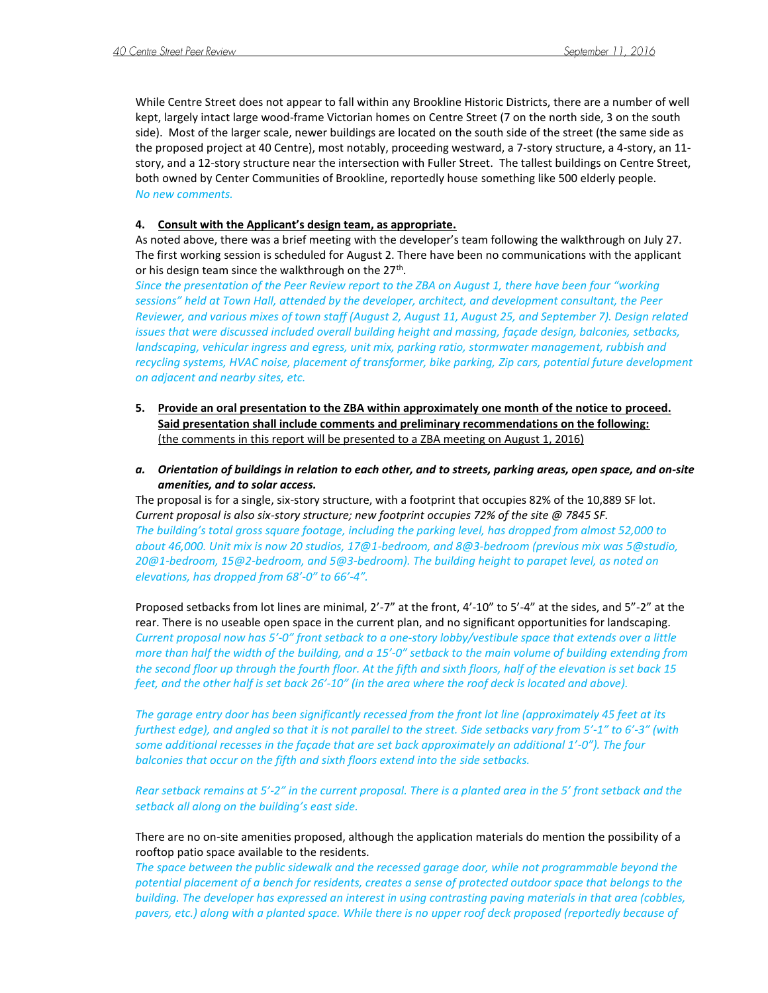While Centre Street does not appear to fall within any Brookline Historic Districts, there are a number of well kept, largely intact large wood-frame Victorian homes on Centre Street (7 on the north side, 3 on the south side). Most of the larger scale, newer buildings are located on the south side of the street (the same side as the proposed project at 40 Centre), most notably, proceeding westward, a 7-story structure, a 4-story, an 11 story, and a 12-story structure near the intersection with Fuller Street. The tallest buildings on Centre Street, both owned by Center Communities of Brookline, reportedly house something like 500 elderly people. *No new comments.* 

### **4. Consult with the Applicant's design team, as appropriate.**

As noted above, there was a brief meeting with the developer's team following the walkthrough on July 27. The first working session is scheduled for August 2. There have been no communications with the applicant or his design team since the walkthrough on the 27<sup>th</sup>.

*Since the presentation of the Peer Review report to the ZBA on August 1, there have been four "working sessions" held at Town Hall, attended by the developer, architect, and development consultant, the Peer Reviewer, and various mixes of town staff (August 2, August 11, August 25, and September 7). Design related issues that were discussed included overall building height and massing, façade design, balconies, setbacks, landscaping, vehicular ingress and egress, unit mix, parking ratio, stormwater management, rubbish and recycling systems, HVAC noise, placement of transformer, bike parking, Zip cars, potential future development on adjacent and nearby sites, etc.* 

- **5. Provide an oral presentation to the ZBA within approximately one month of the notice to proceed. Said presentation shall include comments and preliminary recommendations on the following:** (the comments in this report will be presented to a ZBA meeting on August 1, 2016)
- *a. Orientation of buildings in relation to each other, and to streets, parking areas, open space, and on-site amenities, and to solar access.*

The proposal is for a single, six-story structure, with a footprint that occupies 82% of the 10,889 SF lot. *Current proposal is also six-story structure; new footprint occupies 72% of the site @ 7845 SF. The building's total gross square footage, including the parking level, has dropped from almost 52,000 to about 46,000. Unit mix is now 20 studios, 17@1-bedroom, and 8@3-bedroom (previous mix was 5@studio, 20@1-bedroom, 15@2-bedroom, and 5@3-bedroom). The building height to parapet level, as noted on elevations, has dropped from 68'-0" to 66'-4".*

Proposed setbacks from lot lines are minimal, 2'-7" at the front, 4'-10" to 5'-4" at the sides, and 5"-2" at the rear. There is no useable open space in the current plan, and no significant opportunities for landscaping. *Current proposal now has 5'-0" front setback to a one-story lobby/vestibule space that extends over a little more than half the width of the building, and a 15'-0" setback to the main volume of building extending from the second floor up through the fourth floor. At the fifth and sixth floors, half of the elevation is set back 15 feet, and the other half is set back 26'-10" (in the area where the roof deck is located and above).*

*The garage entry door has been significantly recessed from the front lot line (approximately 45 feet at its furthest edge), and angled so that it is not parallel to the street. Side setbacks vary from 5'-1" to 6'-3" (with some additional recesses in the façade that are set back approximately an additional 1'-0"). The four balconies that occur on the fifth and sixth floors extend into the side setbacks.* 

*Rear setback remains at 5'-2" in the current proposal. There is a planted area in the 5' front setback and the setback all along on the building's east side.* 

There are no on-site amenities proposed, although the application materials do mention the possibility of a rooftop patio space available to the residents.

*The space between the public sidewalk and the recessed garage door, while not programmable beyond the potential placement of a bench for residents, creates a sense of protected outdoor space that belongs to the building. The developer has expressed an interest in using contrasting paving materials in that area (cobbles, pavers, etc.) along with a planted space. While there is no upper roof deck proposed (reportedly because of*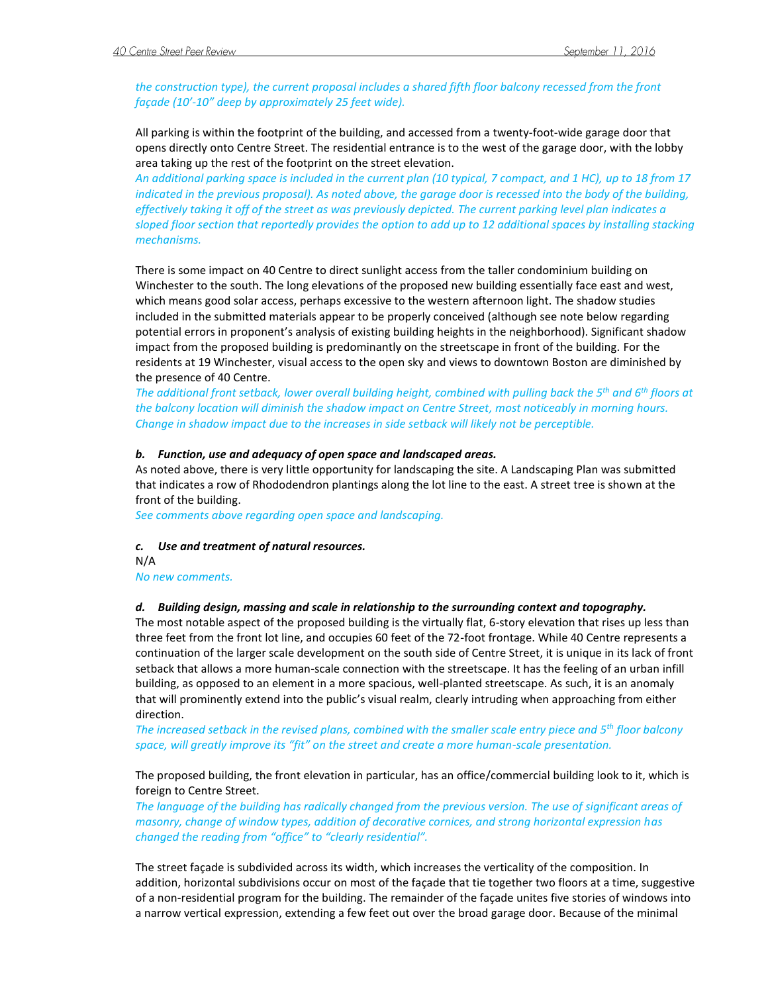## *the construction type), the current proposal includes a shared fifth floor balcony recessed from the front façade (10'-10" deep by approximately 25 feet wide).*

All parking is within the footprint of the building, and accessed from a twenty-foot-wide garage door that opens directly onto Centre Street. The residential entrance is to the west of the garage door, with the lobby area taking up the rest of the footprint on the street elevation.

*An additional parking space is included in the current plan (10 typical, 7 compact, and 1 HC), up to 18 from 17 indicated in the previous proposal). As noted above, the garage door is recessed into the body of the building, effectively taking it off of the street as was previously depicted. The current parking level plan indicates a sloped floor section that reportedly provides the option to add up to 12 additional spaces by installing stacking mechanisms.* 

There is some impact on 40 Centre to direct sunlight access from the taller condominium building on Winchester to the south. The long elevations of the proposed new building essentially face east and west, which means good solar access, perhaps excessive to the western afternoon light. The shadow studies included in the submitted materials appear to be properly conceived (although see note below regarding potential errors in proponent's analysis of existing building heights in the neighborhood). Significant shadow impact from the proposed building is predominantly on the streetscape in front of the building. For the residents at 19 Winchester, visual access to the open sky and views to downtown Boston are diminished by the presence of 40 Centre.

*The additional front setback, lower overall building height, combined with pulling back the 5th and 6th floors at the balcony location will diminish the shadow impact on Centre Street, most noticeably in morning hours. Change in shadow impact due to the increases in side setback will likely not be perceptible.* 

### *b. Function, use and adequacy of open space and landscaped areas.*

As noted above, there is very little opportunity for landscaping the site. A Landscaping Plan was submitted that indicates a row of Rhododendron plantings along the lot line to the east. A street tree is shown at the front of the building.

*See comments above regarding open space and landscaping.* 

### *c. Use and treatment of natural resources.*

N/A *No new comments.* 

### *d. Building design, massing and scale in relationship to the surrounding context and topography.*

The most notable aspect of the proposed building is the virtually flat, 6-story elevation that rises up less than three feet from the front lot line, and occupies 60 feet of the 72-foot frontage. While 40 Centre represents a continuation of the larger scale development on the south side of Centre Street, it is unique in its lack of front setback that allows a more human-scale connection with the streetscape. It has the feeling of an urban infill building, as opposed to an element in a more spacious, well-planted streetscape. As such, it is an anomaly that will prominently extend into the public's visual realm, clearly intruding when approaching from either direction.

*The increased setback in the revised plans, combined with the smaller scale entry piece and 5th floor balcony space, will greatly improve its "fit" on the street and create a more human-scale presentation.* 

The proposed building, the front elevation in particular, has an office/commercial building look to it, which is foreign to Centre Street.

*The language of the building has radically changed from the previous version. The use of significant areas of masonry, change of window types, addition of decorative cornices, and strong horizontal expression has changed the reading from "office" to "clearly residential".* 

The street façade is subdivided across its width, which increases the verticality of the composition. In addition, horizontal subdivisions occur on most of the façade that tie together two floors at a time, suggestive of a non-residential program for the building. The remainder of the façade unites five stories of windows into a narrow vertical expression, extending a few feet out over the broad garage door. Because of the minimal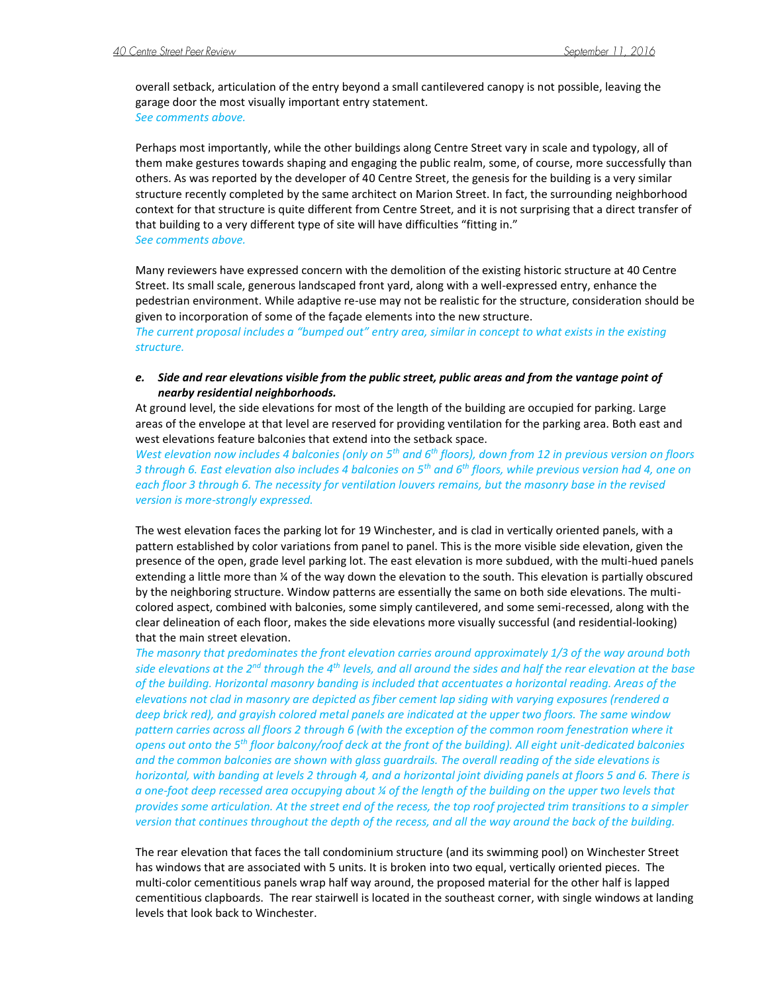overall setback, articulation of the entry beyond a small cantilevered canopy is not possible, leaving the garage door the most visually important entry statement. *See comments above.*

Perhaps most importantly, while the other buildings along Centre Street vary in scale and typology, all of them make gestures towards shaping and engaging the public realm, some, of course, more successfully than others. As was reported by the developer of 40 Centre Street, the genesis for the building is a very similar structure recently completed by the same architect on Marion Street. In fact, the surrounding neighborhood context for that structure is quite different from Centre Street, and it is not surprising that a direct transfer of that building to a very different type of site will have difficulties "fitting in." *See comments above.* 

Many reviewers have expressed concern with the demolition of the existing historic structure at 40 Centre Street. Its small scale, generous landscaped front yard, along with a well-expressed entry, enhance the pedestrian environment. While adaptive re-use may not be realistic for the structure, consideration should be given to incorporation of some of the façade elements into the new structure.

*The current proposal includes a "bumped out" entry area, similar in concept to what exists in the existing structure.* 

### *e. Side and rear elevations visible from the public street, public areas and from the vantage point of nearby residential neighborhoods.*

At ground level, the side elevations for most of the length of the building are occupied for parking. Large areas of the envelope at that level are reserved for providing ventilation for the parking area. Both east and west elevations feature balconies that extend into the setback space.

*West elevation now includes 4 balconies (only on 5th and 6th floors), down from 12 in previous version on floors 3 through 6. East elevation also includes 4 balconies on 5th and 6th floors, while previous version had 4, one on each floor 3 through 6. The necessity for ventilation louvers remains, but the masonry base in the revised version is more-strongly expressed.* 

The west elevation faces the parking lot for 19 Winchester, and is clad in vertically oriented panels, with a pattern established by color variations from panel to panel. This is the more visible side elevation, given the presence of the open, grade level parking lot. The east elevation is more subdued, with the multi-hued panels extending a little more than ¼ of the way down the elevation to the south. This elevation is partially obscured by the neighboring structure. Window patterns are essentially the same on both side elevations. The multicolored aspect, combined with balconies, some simply cantilevered, and some semi-recessed, along with the clear delineation of each floor, makes the side elevations more visually successful (and residential-looking) that the main street elevation.

*The masonry that predominates the front elevation carries around approximately 1/3 of the way around both side elevations at the 2nd through the 4th levels, and all around the sides and half the rear elevation at the base of the building. Horizontal masonry banding is included that accentuates a horizontal reading. Areas of the elevations not clad in masonry are depicted as fiber cement lap siding with varying exposures (rendered a deep brick red), and grayish colored metal panels are indicated at the upper two floors. The same window pattern carries across all floors 2 through 6 (with the exception of the common room fenestration where it opens out onto the 5th floor balcony/roof deck at the front of the building). All eight unit-dedicated balconies and the common balconies are shown with glass guardrails. The overall reading of the side elevations is horizontal, with banding at levels 2 through 4, and a horizontal joint dividing panels at floors 5 and 6. There is a one-foot deep recessed area occupying about ¼ of the length of the building on the upper two levels that provides some articulation. At the street end of the recess, the top roof projected trim transitions to a simpler version that continues throughout the depth of the recess, and all the way around the back of the building.* 

The rear elevation that faces the tall condominium structure (and its swimming pool) on Winchester Street has windows that are associated with 5 units. It is broken into two equal, vertically oriented pieces. The multi-color cementitious panels wrap half way around, the proposed material for the other half is lapped cementitious clapboards. The rear stairwell is located in the southeast corner, with single windows at landing levels that look back to Winchester.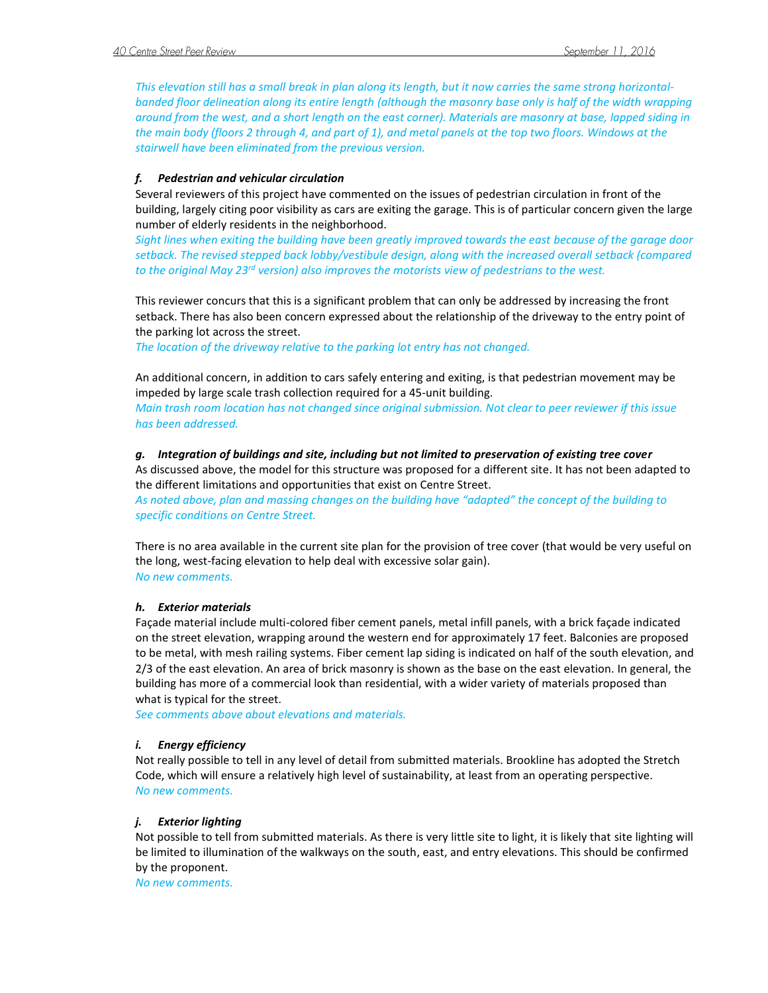*This elevation still has a small break in plan along its length, but it now carries the same strong horizontalbanded floor delineation along its entire length (although the masonry base only is half of the width wrapping around from the west, and a short length on the east corner). Materials are masonry at base, lapped siding in the main body (floors 2 through 4, and part of 1), and metal panels at the top two floors. Windows at the stairwell have been eliminated from the previous version.* 

## *f. Pedestrian and vehicular circulation*

Several reviewers of this project have commented on the issues of pedestrian circulation in front of the building, largely citing poor visibility as cars are exiting the garage. This is of particular concern given the large number of elderly residents in the neighborhood.

*Sight lines when exiting the building have been greatly improved towards the east because of the garage door setback. The revised stepped back lobby/vestibule design, along with the increased overall setback (compared to the original May 23rd version) also improves the motorists view of pedestrians to the west.* 

This reviewer concurs that this is a significant problem that can only be addressed by increasing the front setback. There has also been concern expressed about the relationship of the driveway to the entry point of the parking lot across the street.

*The location of the driveway relative to the parking lot entry has not changed.* 

An additional concern, in addition to cars safely entering and exiting, is that pedestrian movement may be impeded by large scale trash collection required for a 45-unit building.

*Main trash room location has not changed since original submission. Not clear to peer reviewer if this issue has been addressed.* 

### *g. Integration of buildings and site, including but not limited to preservation of existing tree cover*

As discussed above, the model for this structure was proposed for a different site. It has not been adapted to the different limitations and opportunities that exist on Centre Street.

*As noted above, plan and massing changes on the building have "adapted" the concept of the building to specific conditions on Centre Street.* 

There is no area available in the current site plan for the provision of tree cover (that would be very useful on the long, west-facing elevation to help deal with excessive solar gain). *No new comments.*

### *h. Exterior materials*

Façade material include multi-colored fiber cement panels, metal infill panels, with a brick façade indicated on the street elevation, wrapping around the western end for approximately 17 feet. Balconies are proposed to be metal, with mesh railing systems. Fiber cement lap siding is indicated on half of the south elevation, and 2/3 of the east elevation. An area of brick masonry is shown as the base on the east elevation. In general, the building has more of a commercial look than residential, with a wider variety of materials proposed than what is typical for the street.

*See comments above about elevations and materials.* 

### *i. Energy efficiency*

Not really possible to tell in any level of detail from submitted materials. Brookline has adopted the Stretch Code, which will ensure a relatively high level of sustainability, at least from an operating perspective. *No new comments.* 

### *j. Exterior lighting*

Not possible to tell from submitted materials. As there is very little site to light, it is likely that site lighting will be limited to illumination of the walkways on the south, east, and entry elevations. This should be confirmed by the proponent.

*No new comments.*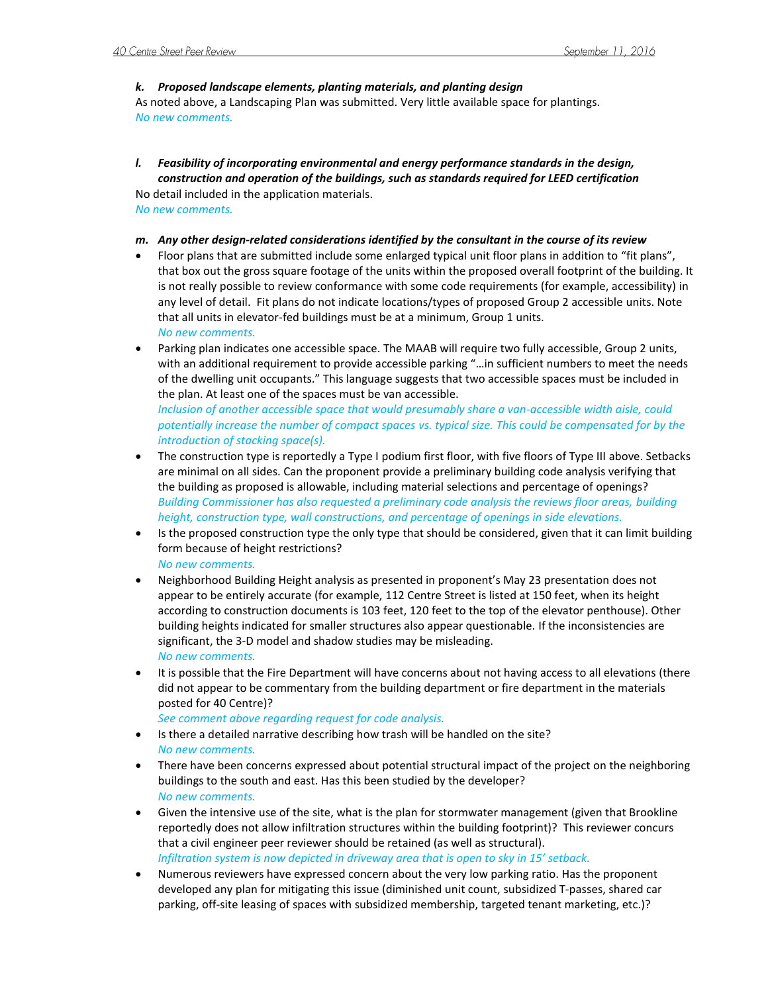### *k. Proposed landscape elements, planting materials, and planting design*

As noted above, a Landscaping Plan was submitted. Very little available space for plantings. *No new comments.* 

*l. Feasibility of incorporating environmental and energy performance standards in the design, construction and operation of the buildings, such as standards required for LEED certification* No detail included in the application materials.

*No new comments.* 

### *m. Any other design-related considerations identified by the consultant in the course of its review*

- Floor plans that are submitted include some enlarged typical unit floor plans in addition to "fit plans", that box out the gross square footage of the units within the proposed overall footprint of the building. It is not really possible to review conformance with some code requirements (for example, accessibility) in any level of detail. Fit plans do not indicate locations/types of proposed Group 2 accessible units. Note that all units in elevator-fed buildings must be at a minimum, Group 1 units. *No new comments.*
- Parking plan indicates one accessible space. The MAAB will require two fully accessible, Group 2 units, with an additional requirement to provide accessible parking "…in sufficient numbers to meet the needs of the dwelling unit occupants." This language suggests that two accessible spaces must be included in the plan. At least one of the spaces must be van accessible. *Inclusion of another accessible space that would presumably share a van-accessible width aisle, could*

*potentially increase the number of compact spaces vs. typical size. This could be compensated for by the introduction of stacking space(s).* 

- The construction type is reportedly a Type I podium first floor, with five floors of Type III above. Setbacks are minimal on all sides. Can the proponent provide a preliminary building code analysis verifying that the building as proposed is allowable, including material selections and percentage of openings? *Building Commissioner has also requested a preliminary code analysis the reviews floor areas, building height, construction type, wall constructions, and percentage of openings in side elevations.*
- Is the proposed construction type the only type that should be considered, given that it can limit building form because of height restrictions? *No new comments.*
- Neighborhood Building Height analysis as presented in proponent's May 23 presentation does not appear to be entirely accurate (for example, 112 Centre Street is listed at 150 feet, when its height according to construction documents is 103 feet, 120 feet to the top of the elevator penthouse). Other building heights indicated for smaller structures also appear questionable. If the inconsistencies are significant, the 3-D model and shadow studies may be misleading. *No new comments.*
- It is possible that the Fire Department will have concerns about not having access to all elevations (there did not appear to be commentary from the building department or fire department in the materials posted for 40 Centre)?

*See comment above regarding request for code analysis.* 

- Is there a detailed narrative describing how trash will be handled on the site? *No new comments.*
- There have been concerns expressed about potential structural impact of the project on the neighboring buildings to the south and east. Has this been studied by the developer? *No new comments.*
- Given the intensive use of the site, what is the plan for stormwater management (given that Brookline reportedly does not allow infiltration structures within the building footprint)? This reviewer concurs that a civil engineer peer reviewer should be retained (as well as structural). *Infiltration system is now depicted in driveway area that is open to sky in 15' setback.*
- Numerous reviewers have expressed concern about the very low parking ratio. Has the proponent developed any plan for mitigating this issue (diminished unit count, subsidized T-passes, shared car parking, off-site leasing of spaces with subsidized membership, targeted tenant marketing, etc.)?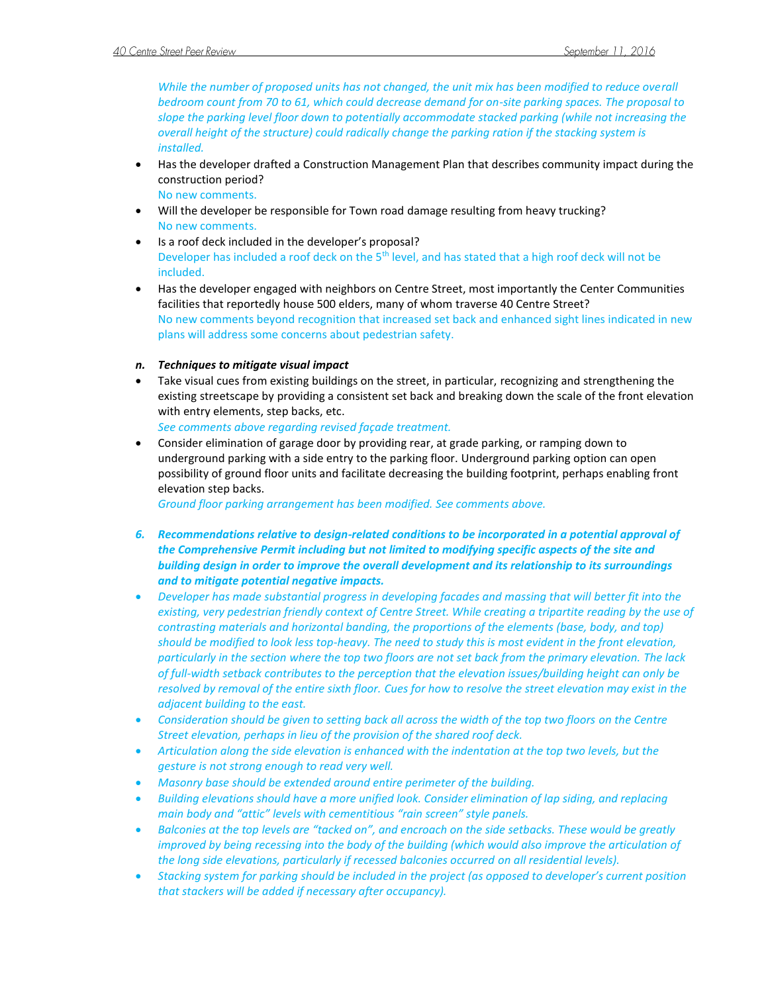*While the number of proposed units has not changed, the unit mix has been modified to reduce overall bedroom count from 70 to 61, which could decrease demand for on-site parking spaces. The proposal to slope the parking level floor down to potentially accommodate stacked parking (while not increasing the overall height of the structure) could radically change the parking ration if the stacking system is installed.* 

- Has the developer drafted a Construction Management Plan that describes community impact during the construction period? No new comments.
- Will the developer be responsible for Town road damage resulting from heavy trucking? No new comments.
- Is a roof deck included in the developer's proposal? Developer has included a roof deck on the 5<sup>th</sup> level, and has stated that a high roof deck will not be included.
- Has the developer engaged with neighbors on Centre Street, most importantly the Center Communities facilities that reportedly house 500 elders, many of whom traverse 40 Centre Street? No new comments beyond recognition that increased set back and enhanced sight lines indicated in new plans will address some concerns about pedestrian safety.

# *n. Techniques to mitigate visual impact*

 Take visual cues from existing buildings on the street, in particular, recognizing and strengthening the existing streetscape by providing a consistent set back and breaking down the scale of the front elevation with entry elements, step backs, etc.

*See comments above regarding revised façade treatment.* 

 Consider elimination of garage door by providing rear, at grade parking, or ramping down to underground parking with a side entry to the parking floor. Underground parking option can open possibility of ground floor units and facilitate decreasing the building footprint, perhaps enabling front elevation step backs.

*Ground floor parking arrangement has been modified. See comments above.* 

- *6. Recommendations relative to design-related conditions to be incorporated in a potential approval of the Comprehensive Permit including but not limited to modifying specific aspects of the site and building design in order to improve the overall development and its relationship to its surroundings and to mitigate potential negative impacts.*
- *Developer has made substantial progress in developing facades and massing that will better fit into the existing, very pedestrian friendly context of Centre Street. While creating a tripartite reading by the use of contrasting materials and horizontal banding, the proportions of the elements (base, body, and top) should be modified to look less top-heavy. The need to study this is most evident in the front elevation, particularly in the section where the top two floors are not set back from the primary elevation. The lack of full-width setback contributes to the perception that the elevation issues/building height can only be resolved by removal of the entire sixth floor. Cues for how to resolve the street elevation may exist in the adjacent building to the east.*
- *Consideration should be given to setting back all across the width of the top two floors on the Centre Street elevation, perhaps in lieu of the provision of the shared roof deck.*
- *Articulation along the side elevation is enhanced with the indentation at the top two levels, but the gesture is not strong enough to read very well.*
- *Masonry base should be extended around entire perimeter of the building.*
- **•** Building elevations should have a more unified look. Consider elimination of lap siding, and replacing *main body and "attic" levels with cementitious "rain screen" style panels.*
- *Balconies at the top levels are "tacked on", and encroach on the side setbacks. These would be greatly improved by being recessing into the body of the building (which would also improve the articulation of the long side elevations, particularly if recessed balconies occurred on all residential levels).*
- *Stacking system for parking should be included in the project (as opposed to developer's current position that stackers will be added if necessary after occupancy).*